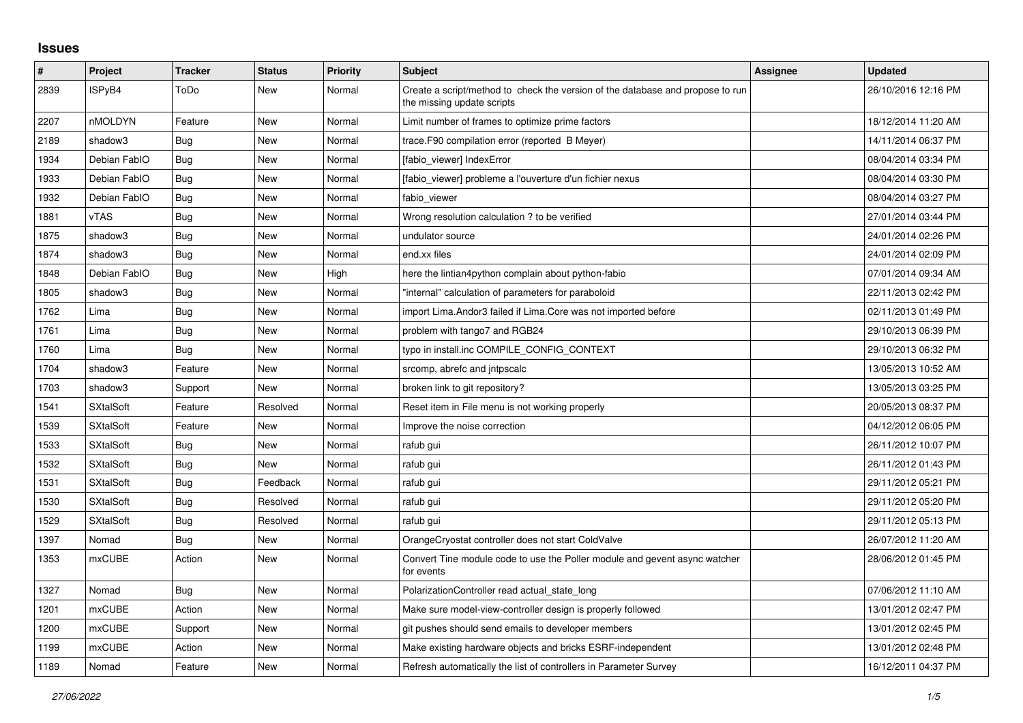## **Issues**

| #    | Project          | <b>Tracker</b> | <b>Status</b> | <b>Priority</b> | <b>Subject</b>                                                                                               | <b>Assignee</b> | <b>Updated</b>      |
|------|------------------|----------------|---------------|-----------------|--------------------------------------------------------------------------------------------------------------|-----------------|---------------------|
| 2839 | ISPyB4           | ToDo           | <b>New</b>    | Normal          | Create a script/method to check the version of the database and propose to run<br>the missing update scripts |                 | 26/10/2016 12:16 PM |
| 2207 | nMOLDYN          | Feature        | New           | Normal          | Limit number of frames to optimize prime factors                                                             |                 | 18/12/2014 11:20 AM |
| 2189 | shadow3          | <b>Bug</b>     | <b>New</b>    | Normal          | trace.F90 compilation error (reported B Meyer)                                                               |                 | 14/11/2014 06:37 PM |
| 1934 | Debian FablO     | Bug            | <b>New</b>    | Normal          | [fabio viewer] IndexError                                                                                    |                 | 08/04/2014 03:34 PM |
| 1933 | Debian FablO     | <b>Bug</b>     | New           | Normal          | [fabio viewer] probleme a l'ouverture d'un fichier nexus                                                     |                 | 08/04/2014 03:30 PM |
| 1932 | Debian FablO     | <b>Bug</b>     | <b>New</b>    | Normal          | fabio viewer                                                                                                 |                 | 08/04/2014 03:27 PM |
| 1881 | <b>vTAS</b>      | <b>Bug</b>     | <b>New</b>    | Normal          | Wrong resolution calculation? to be verified                                                                 |                 | 27/01/2014 03:44 PM |
| 1875 | shadow3          | Bug            | New           | Normal          | undulator source                                                                                             |                 | 24/01/2014 02:26 PM |
| 1874 | shadow3          | Bug            | New           | Normal          | end.xx files                                                                                                 |                 | 24/01/2014 02:09 PM |
| 1848 | Debian FablO     | <b>Bug</b>     | <b>New</b>    | High            | here the lintian4python complain about python-fabio                                                          |                 | 07/01/2014 09:34 AM |
| 1805 | shadow3          | <b>Bug</b>     | New           | Normal          | "internal" calculation of parameters for paraboloid                                                          |                 | 22/11/2013 02:42 PM |
| 1762 | Lima             | Bug            | <b>New</b>    | Normal          | import Lima. Andor3 failed if Lima. Core was not imported before                                             |                 | 02/11/2013 01:49 PM |
| 1761 | Lima             | <b>Bug</b>     | New           | Normal          | problem with tango7 and RGB24                                                                                |                 | 29/10/2013 06:39 PM |
| 1760 | Lima             | Bug            | New           | Normal          | typo in install.inc COMPILE CONFIG CONTEXT                                                                   |                 | 29/10/2013 06:32 PM |
| 1704 | shadow3          | Feature        | <b>New</b>    | Normal          | srcomp, abrefc and intpscalc                                                                                 |                 | 13/05/2013 10:52 AM |
| 1703 | shadow3          | Support        | <b>New</b>    | Normal          | broken link to git repository?                                                                               |                 | 13/05/2013 03:25 PM |
| 1541 | <b>SXtalSoft</b> | Feature        | Resolved      | Normal          | Reset item in File menu is not working properly                                                              |                 | 20/05/2013 08:37 PM |
| 1539 | <b>SXtalSoft</b> | Feature        | <b>New</b>    | Normal          | Improve the noise correction                                                                                 |                 | 04/12/2012 06:05 PM |
| 1533 | <b>SXtalSoft</b> | <b>Bug</b>     | <b>New</b>    | Normal          | rafub gui                                                                                                    |                 | 26/11/2012 10:07 PM |
| 1532 | <b>SXtalSoft</b> | Bug            | New           | Normal          | rafub gui                                                                                                    |                 | 26/11/2012 01:43 PM |
| 1531 | <b>SXtalSoft</b> | <b>Bug</b>     | Feedback      | Normal          | rafub gui                                                                                                    |                 | 29/11/2012 05:21 PM |
| 1530 | <b>SXtalSoft</b> | Bug            | Resolved      | Normal          | rafub gui                                                                                                    |                 | 29/11/2012 05:20 PM |
| 1529 | <b>SXtalSoft</b> | <b>Bug</b>     | Resolved      | Normal          | rafub gui                                                                                                    |                 | 29/11/2012 05:13 PM |
| 1397 | Nomad            | Bug            | <b>New</b>    | Normal          | OrangeCryostat controller does not start ColdValve                                                           |                 | 26/07/2012 11:20 AM |
| 1353 | <b>mxCUBE</b>    | Action         | New           | Normal          | Convert Tine module code to use the Poller module and gevent async watcher<br>for events                     |                 | 28/06/2012 01:45 PM |
| 1327 | Nomad            | <b>Bug</b>     | <b>New</b>    | Normal          | PolarizationController read actual_state_long                                                                |                 | 07/06/2012 11:10 AM |
| 1201 | <b>mxCUBE</b>    | Action         | New           | Normal          | Make sure model-view-controller design is properly followed                                                  |                 | 13/01/2012 02:47 PM |
| 1200 | <b>mxCUBE</b>    | Support        | New           | Normal          | git pushes should send emails to developer members                                                           |                 | 13/01/2012 02:45 PM |
| 1199 | <b>mxCUBE</b>    | Action         | New           | Normal          | Make existing hardware objects and bricks ESRF-independent                                                   |                 | 13/01/2012 02:48 PM |
| 1189 | Nomad            | Feature        | New           | Normal          | Refresh automatically the list of controllers in Parameter Survey                                            |                 | 16/12/2011 04:37 PM |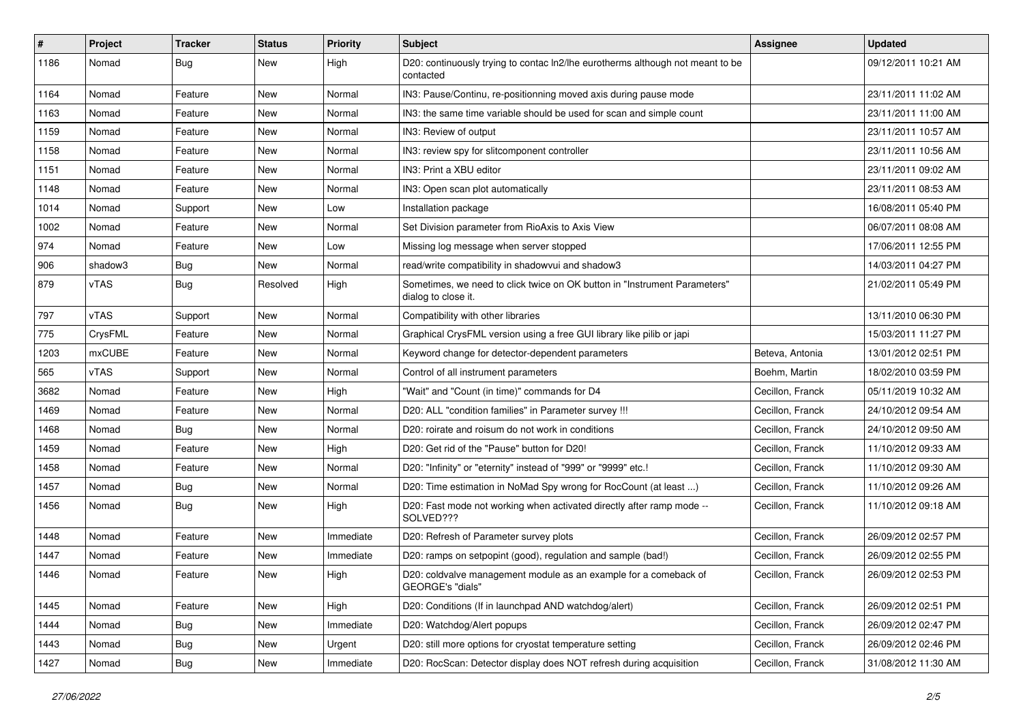| #    | Project       | <b>Tracker</b> | <b>Status</b> | <b>Priority</b> | <b>Subject</b>                                                                                   | Assignee         | <b>Updated</b>      |
|------|---------------|----------------|---------------|-----------------|--------------------------------------------------------------------------------------------------|------------------|---------------------|
| 1186 | Nomad         | <b>Bug</b>     | New           | High            | D20: continuously trying to contac ln2/lhe eurotherms although not meant to be<br>contacted      |                  | 09/12/2011 10:21 AM |
| 1164 | Nomad         | Feature        | New           | Normal          | IN3: Pause/Continu, re-positionning moved axis during pause mode                                 |                  | 23/11/2011 11:02 AM |
| 1163 | Nomad         | Feature        | New           | Normal          | IN3: the same time variable should be used for scan and simple count                             |                  | 23/11/2011 11:00 AM |
| 1159 | Nomad         | Feature        | New           | Normal          | IN3: Review of output                                                                            |                  | 23/11/2011 10:57 AM |
| 1158 | Nomad         | Feature        | New           | Normal          | IN3: review spy for slitcomponent controller                                                     |                  | 23/11/2011 10:56 AM |
| 1151 | Nomad         | Feature        | New           | Normal          | IN3: Print a XBU editor                                                                          |                  | 23/11/2011 09:02 AM |
| 1148 | Nomad         | Feature        | New           | Normal          | IN3: Open scan plot automatically                                                                |                  | 23/11/2011 08:53 AM |
| 1014 | Nomad         | Support        | New           | Low             | Installation package                                                                             |                  | 16/08/2011 05:40 PM |
| 1002 | Nomad         | Feature        | New           | Normal          | Set Division parameter from RioAxis to Axis View                                                 |                  | 06/07/2011 08:08 AM |
| 974  | Nomad         | Feature        | New           | Low             | Missing log message when server stopped                                                          |                  | 17/06/2011 12:55 PM |
| 906  | shadow3       | <b>Bug</b>     | New           | Normal          | read/write compatibility in shadowvui and shadow3                                                |                  | 14/03/2011 04:27 PM |
| 879  | vTAS          | <b>Bug</b>     | Resolved      | High            | Sometimes, we need to click twice on OK button in "Instrument Parameters"<br>dialog to close it. |                  | 21/02/2011 05:49 PM |
| 797  | vTAS          | Support        | New           | Normal          | Compatibility with other libraries                                                               |                  | 13/11/2010 06:30 PM |
| 775  | CrysFML       | Feature        | New           | Normal          | Graphical CrysFML version using a free GUI library like pilib or japi                            |                  | 15/03/2011 11:27 PM |
| 1203 | <b>mxCUBE</b> | Feature        | New           | Normal          | Keyword change for detector-dependent parameters                                                 | Beteva, Antonia  | 13/01/2012 02:51 PM |
| 565  | vTAS          | Support        | New           | Normal          | Control of all instrument parameters                                                             | Boehm. Martin    | 18/02/2010 03:59 PM |
| 3682 | Nomad         | Feature        | New           | High            | "Wait" and "Count (in time)" commands for D4                                                     | Cecillon, Franck | 05/11/2019 10:32 AM |
| 1469 | Nomad         | Feature        | New           | Normal          | D20: ALL "condition families" in Parameter survey !!!                                            | Cecillon, Franck | 24/10/2012 09:54 AM |
| 1468 | Nomad         | Bug            | New           | Normal          | D20: roirate and roisum do not work in conditions                                                | Cecillon, Franck | 24/10/2012 09:50 AM |
| 1459 | Nomad         | Feature        | New           | High            | D20: Get rid of the "Pause" button for D20!                                                      | Cecillon, Franck | 11/10/2012 09:33 AM |
| 1458 | Nomad         | Feature        | New           | Normal          | D20: "Infinity" or "eternity" instead of "999" or "9999" etc.!                                   | Cecillon, Franck | 11/10/2012 09:30 AM |
| 1457 | Nomad         | Bug            | New           | Normal          | D20: Time estimation in NoMad Spy wrong for RocCount (at least )                                 | Cecillon, Franck | 11/10/2012 09:26 AM |
| 1456 | Nomad         | Bug            | New           | High            | D20: Fast mode not working when activated directly after ramp mode --<br>SOLVED???               | Cecillon, Franck | 11/10/2012 09:18 AM |
| 1448 | Nomad         | Feature        | New           | Immediate       | D20: Refresh of Parameter survey plots                                                           | Cecillon, Franck | 26/09/2012 02:57 PM |
| 1447 | Nomad         | Feature        | New           | Immediate       | D20: ramps on setpopint (good), regulation and sample (bad!)                                     | Cecillon, Franck | 26/09/2012 02:55 PM |
| 1446 | Nomad         | Feature        | New           | High            | D20: coldvalve management module as an example for a comeback of<br>GEORGE's "dials"             | Cecillon, Franck | 26/09/2012 02:53 PM |
| 1445 | Nomad         | Feature        | New           | High            | D20: Conditions (If in launchpad AND watchdog/alert)                                             | Cecillon, Franck | 26/09/2012 02:51 PM |
| 1444 | Nomad         | <b>Bug</b>     | New           | Immediate       | D20: Watchdog/Alert popups                                                                       | Cecillon, Franck | 26/09/2012 02:47 PM |
| 1443 | Nomad         | Bug            | New           | Urgent          | D20: still more options for cryostat temperature setting                                         | Cecillon, Franck | 26/09/2012 02:46 PM |
| 1427 | Nomad         | <b>Bug</b>     | New           | Immediate       | D20: RocScan: Detector display does NOT refresh during acquisition                               | Cecillon, Franck | 31/08/2012 11:30 AM |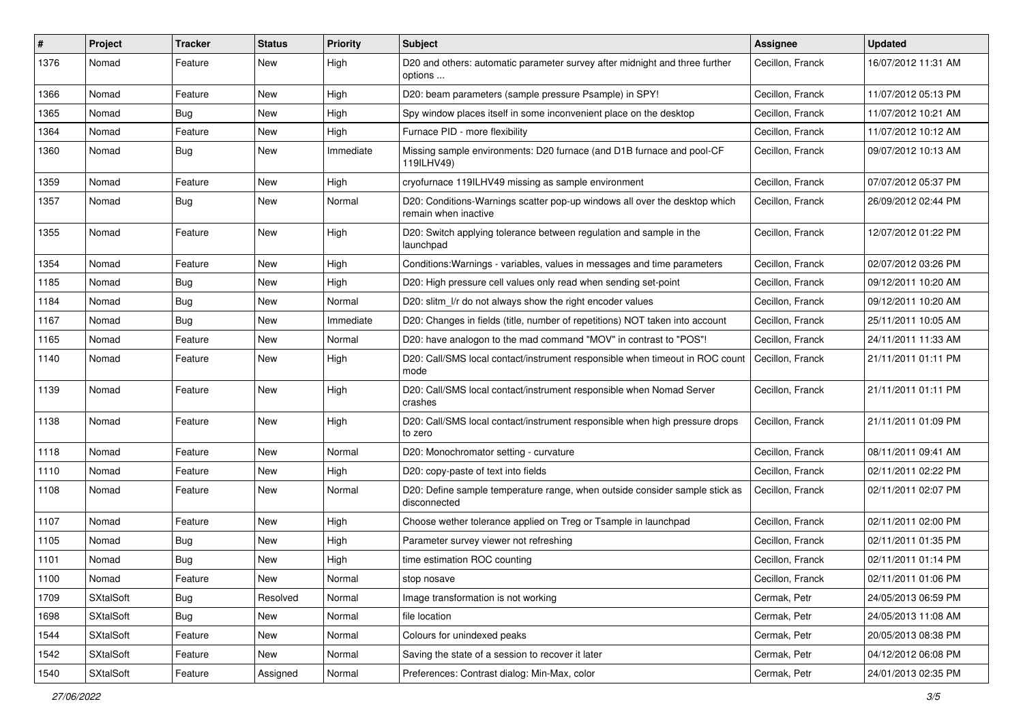| #    | Project          | <b>Tracker</b> | <b>Status</b> | <b>Priority</b> | <b>Subject</b>                                                                                     | Assignee         | <b>Updated</b>      |
|------|------------------|----------------|---------------|-----------------|----------------------------------------------------------------------------------------------------|------------------|---------------------|
| 1376 | Nomad            | Feature        | New           | High            | D20 and others: automatic parameter survey after midnight and three further<br>options             | Cecillon, Franck | 16/07/2012 11:31 AM |
| 1366 | Nomad            | Feature        | New           | High            | D20: beam parameters (sample pressure Psample) in SPY!                                             | Cecillon, Franck | 11/07/2012 05:13 PM |
| 1365 | Nomad            | Bug            | New           | High            | Spy window places itself in some inconvenient place on the desktop                                 | Cecillon, Franck | 11/07/2012 10:21 AM |
| 1364 | Nomad            | Feature        | New           | High            | Furnace PID - more flexibility                                                                     | Cecillon, Franck | 11/07/2012 10:12 AM |
| 1360 | Nomad            | Bug            | New           | Immediate       | Missing sample environments: D20 furnace (and D1B furnace and pool-CF<br>119ILHV49)                | Cecillon, Franck | 09/07/2012 10:13 AM |
| 1359 | Nomad            | Feature        | New           | High            | cryofurnace 119ILHV49 missing as sample environment                                                | Cecillon, Franck | 07/07/2012 05:37 PM |
| 1357 | Nomad            | Bug            | New           | Normal          | D20: Conditions-Warnings scatter pop-up windows all over the desktop which<br>remain when inactive | Cecillon, Franck | 26/09/2012 02:44 PM |
| 1355 | Nomad            | Feature        | New           | High            | D20: Switch applying tolerance between regulation and sample in the<br>launchpad                   | Cecillon, Franck | 12/07/2012 01:22 PM |
| 1354 | Nomad            | Feature        | New           | High            | Conditions: Warnings - variables, values in messages and time parameters                           | Cecillon, Franck | 02/07/2012 03:26 PM |
| 1185 | Nomad            | Bug            | New           | High            | D20: High pressure cell values only read when sending set-point                                    | Cecillon, Franck | 09/12/2011 10:20 AM |
| 1184 | Nomad            | Bug            | New           | Normal          | D20: slitm_l/r do not always show the right encoder values                                         | Cecillon, Franck | 09/12/2011 10:20 AM |
| 1167 | Nomad            | Bug            | New           | Immediate       | D20: Changes in fields (title, number of repetitions) NOT taken into account                       | Cecillon, Franck | 25/11/2011 10:05 AM |
| 1165 | Nomad            | Feature        | New           | Normal          | D20: have analogon to the mad command "MOV" in contrast to "POS"!                                  | Cecillon, Franck | 24/11/2011 11:33 AM |
| 1140 | Nomad            | Feature        | New           | High            | D20: Call/SMS local contact/instrument responsible when timeout in ROC count<br>mode               | Cecillon, Franck | 21/11/2011 01:11 PM |
| 1139 | Nomad            | Feature        | New           | High            | D20: Call/SMS local contact/instrument responsible when Nomad Server<br>crashes                    | Cecillon, Franck | 21/11/2011 01:11 PM |
| 1138 | Nomad            | Feature        | New           | High            | D20: Call/SMS local contact/instrument responsible when high pressure drops<br>to zero             | Cecillon, Franck | 21/11/2011 01:09 PM |
| 1118 | Nomad            | Feature        | New           | Normal          | D20: Monochromator setting - curvature                                                             | Cecillon, Franck | 08/11/2011 09:41 AM |
| 1110 | Nomad            | Feature        | New           | High            | D20: copy-paste of text into fields                                                                | Cecillon, Franck | 02/11/2011 02:22 PM |
| 1108 | Nomad            | Feature        | New           | Normal          | D20: Define sample temperature range, when outside consider sample stick as<br>disconnected        | Cecillon, Franck | 02/11/2011 02:07 PM |
| 1107 | Nomad            | Feature        | New           | High            | Choose wether tolerance applied on Treg or Tsample in launchpad                                    | Cecillon, Franck | 02/11/2011 02:00 PM |
| 1105 | Nomad            | <b>Bug</b>     | New           | High            | Parameter survey viewer not refreshing                                                             | Cecillon, Franck | 02/11/2011 01:35 PM |
| 1101 | Nomad            | Bug            | New           | High            | time estimation ROC counting                                                                       | Cecillon, Franck | 02/11/2011 01:14 PM |
| 1100 | Nomad            | Feature        | New           | Normal          | stop nosave                                                                                        | Cecillon, Franck | 02/11/2011 01:06 PM |
| 1709 | <b>SXtalSoft</b> | Bug            | Resolved      | Normal          | Image transformation is not working                                                                | Cermak, Petr     | 24/05/2013 06:59 PM |
| 1698 | SXtalSoft        | Bug            | New           | Normal          | file location                                                                                      | Cermak, Petr     | 24/05/2013 11:08 AM |
| 1544 | <b>SXtalSoft</b> | Feature        | New           | Normal          | Colours for unindexed peaks                                                                        | Cermak, Petr     | 20/05/2013 08:38 PM |
| 1542 | <b>SXtalSoft</b> | Feature        | New           | Normal          | Saving the state of a session to recover it later                                                  | Cermak, Petr     | 04/12/2012 06:08 PM |
| 1540 | <b>SXtalSoft</b> | Feature        | Assigned      | Normal          | Preferences: Contrast dialog: Min-Max, color                                                       | Cermak, Petr     | 24/01/2013 02:35 PM |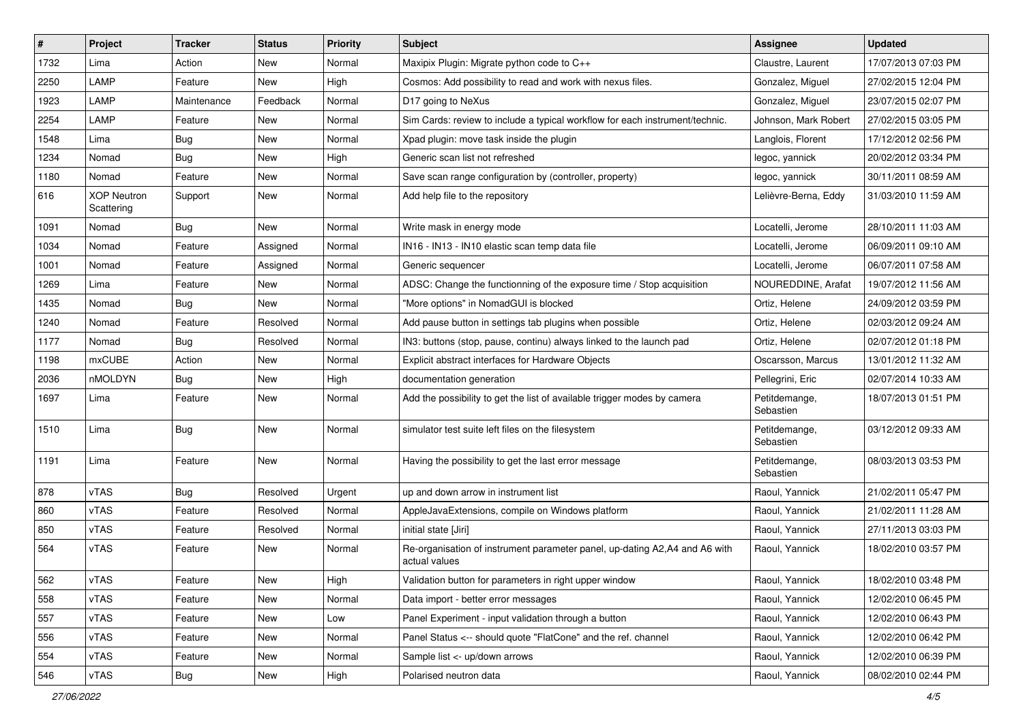| #    | Project                          | <b>Tracker</b> | <b>Status</b> | <b>Priority</b> | <b>Subject</b>                                                                              | <b>Assignee</b>            | <b>Updated</b>      |
|------|----------------------------------|----------------|---------------|-----------------|---------------------------------------------------------------------------------------------|----------------------------|---------------------|
| 1732 | Lima                             | Action         | New           | Normal          | Maxipix Plugin: Migrate python code to C++                                                  | Claustre, Laurent          | 17/07/2013 07:03 PM |
| 2250 | LAMP                             | Feature        | New           | High            | Cosmos: Add possibility to read and work with nexus files.                                  | Gonzalez, Miguel           | 27/02/2015 12:04 PM |
| 1923 | LAMP                             | Maintenance    | Feedback      | Normal          | D17 going to NeXus                                                                          | Gonzalez, Miguel           | 23/07/2015 02:07 PM |
| 2254 | LAMP                             | Feature        | New           | Normal          | Sim Cards: review to include a typical workflow for each instrument/technic.                | Johnson, Mark Robert       | 27/02/2015 03:05 PM |
| 1548 | Lima                             | <b>Bug</b>     | New           | Normal          | Xpad plugin: move task inside the plugin                                                    | Langlois, Florent          | 17/12/2012 02:56 PM |
| 1234 | Nomad                            | <b>Bug</b>     | New           | High            | Generic scan list not refreshed                                                             | legoc, yannick             | 20/02/2012 03:34 PM |
| 1180 | Nomad                            | Feature        | New           | Normal          | Save scan range configuration by (controller, property)                                     | legoc, yannick             | 30/11/2011 08:59 AM |
| 616  | <b>XOP Neutron</b><br>Scattering | Support        | New           | Normal          | Add help file to the repository                                                             | Lelièvre-Berna, Eddy       | 31/03/2010 11:59 AM |
| 1091 | Nomad                            | Bug            | <b>New</b>    | Normal          | Write mask in energy mode                                                                   | Locatelli, Jerome          | 28/10/2011 11:03 AM |
| 1034 | Nomad                            | Feature        | Assigned      | Normal          | IN16 - IN13 - IN10 elastic scan temp data file                                              | Locatelli, Jerome          | 06/09/2011 09:10 AM |
| 1001 | Nomad                            | Feature        | Assigned      | Normal          | Generic sequencer                                                                           | Locatelli, Jerome          | 06/07/2011 07:58 AM |
| 1269 | Lima                             | Feature        | New           | Normal          | ADSC: Change the functionning of the exposure time / Stop acquisition                       | NOUREDDINE, Arafat         | 19/07/2012 11:56 AM |
| 1435 | Nomad                            | <b>Bug</b>     | New           | Normal          | "More options" in NomadGUI is blocked                                                       | Ortiz, Helene              | 24/09/2012 03:59 PM |
| 1240 | Nomad                            | Feature        | Resolved      | Normal          | Add pause button in settings tab plugins when possible                                      | Ortiz, Helene              | 02/03/2012 09:24 AM |
| 1177 | Nomad                            | <b>Bug</b>     | Resolved      | Normal          | IN3: buttons (stop, pause, continu) always linked to the launch pad                         | Ortiz, Helene              | 02/07/2012 01:18 PM |
| 1198 | mxCUBE                           | Action         | New           | Normal          | Explicit abstract interfaces for Hardware Objects                                           | Oscarsson, Marcus          | 13/01/2012 11:32 AM |
| 2036 | nMOLDYN                          | <b>Bug</b>     | New           | High            | documentation generation                                                                    | Pellegrini, Eric           | 02/07/2014 10:33 AM |
| 1697 | Lima                             | Feature        | New           | Normal          | Add the possibility to get the list of available trigger modes by camera                    | Petitdemange,<br>Sebastien | 18/07/2013 01:51 PM |
| 1510 | Lima                             | <b>Bug</b>     | New           | Normal          | simulator test suite left files on the filesystem                                           | Petitdemange,<br>Sebastien | 03/12/2012 09:33 AM |
| 1191 | Lima                             | Feature        | New           | Normal          | Having the possibility to get the last error message                                        | Petitdemange,<br>Sebastien | 08/03/2013 03:53 PM |
| 878  | vTAS                             | Bug            | Resolved      | Urgent          | up and down arrow in instrument list                                                        | Raoul, Yannick             | 21/02/2011 05:47 PM |
| 860  | vTAS                             | Feature        | Resolved      | Normal          | AppleJavaExtensions, compile on Windows platform                                            | Raoul, Yannick             | 21/02/2011 11:28 AM |
| 850  | vTAS                             | Feature        | Resolved      | Normal          | initial state [Jiri]                                                                        | Raoul, Yannick             | 27/11/2013 03:03 PM |
| 564  | vTAS                             | Feature        | New           | Normal          | Re-organisation of instrument parameter panel, up-dating A2,A4 and A6 with<br>actual values | Raoul, Yannick             | 18/02/2010 03:57 PM |
| 562  | vTAS                             | Feature        | New           | High            | Validation button for parameters in right upper window                                      | Raoul, Yannick             | 18/02/2010 03:48 PM |
| 558  | vTAS                             | Feature        | <b>New</b>    | Normal          | Data import - better error messages                                                         | Raoul, Yannick             | 12/02/2010 06:45 PM |
| 557  | vTAS                             | Feature        | New           | Low             | Panel Experiment - input validation through a button                                        | Raoul, Yannick             | 12/02/2010 06:43 PM |
| 556  | vTAS                             | Feature        | New           | Normal          | Panel Status <-- should quote "FlatCone" and the ref. channel                               | Raoul, Yannick             | 12/02/2010 06:42 PM |
| 554  | vTAS                             | Feature        | New           | Normal          | Sample list <- up/down arrows                                                               | Raoul, Yannick             | 12/02/2010 06:39 PM |
| 546  | vTAS                             | Bug            | New           | High            | Polarised neutron data                                                                      | Raoul, Yannick             | 08/02/2010 02:44 PM |